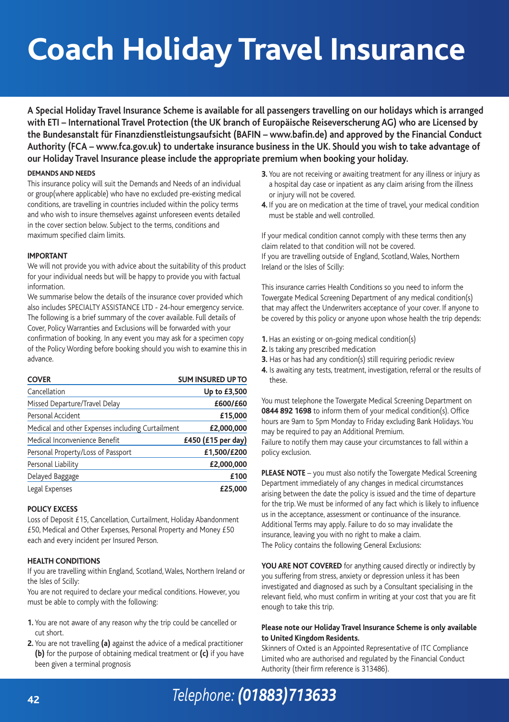# **Coach Holiday Travel Insurance**

A Special Holiday Travel Insurance Scheme is available for all passengers travelling on our holidays which is arranged with ETI - International Travel Protection (the UK branch of Europäische Reiseverscherung AG) who are Licensed by **the Bundesanstalt für Finanzdienstleistungsaufsicht (BAFIN – www.bafin.de) and approved by the Financial Conduct** Authority (FCA - www.fca.gov.uk) to undertake insurance business in the UK. Should you wish to take advantage of **our Holiday Travel Insurance please include the appropriate premium when booking your holiday.**

#### **DEMANDS AND NEEDS**

This insurance policy will suit the Demands and Needs of an individual or group(where applicable) who have no excluded pre-existing medical conditions, are travelling in countries included within the policy terms and who wish to insure themselves against unforeseen events detailed in the cover section below. Subject to the terms, conditions and maximum specified claim limits.

#### **IMPORTANT**

We will not provide you with advice about the suitability of this product for your individual needs but will be happy to provide you with factual information.

We summarise below the details of the insurance cover provided which also includes SPECIALTY ASSISTANCE LTD - 24-hour emergency service. The following is a brief summary of the cover available. Full details of Cover, Policy Warranties and Exclusions will be forwarded with your confirmation of booking. In any event you may ask for a specimen copy of the Policy Wording before booking should you wish to examine this in advance.

| <b>COVER</b>                                     | <b>SUM INSURED UP TO</b> |
|--------------------------------------------------|--------------------------|
| Cancellation                                     | Up to £3,500             |
| Missed Departure/Travel Delay                    | £600/£60                 |
| Personal Accident                                | £15.000                  |
| Medical and other Expenses including Curtailment | £2,000,000               |
| Medical Inconvenience Benefit                    | £450 (£15 per day)       |
| Personal Property/Loss of Passport               | £1.500/£200              |
| Personal Liability                               | £2,000,000               |
| Delayed Baggage                                  | £100                     |
| Legal Expenses                                   | £25.000                  |

### **POLICY EXCESS**

Loss of Deposit £15, Cancellation, Curtailment, Holiday Abandonment £50, Medical and Other Expenses, Personal Property and Money £50 each and every incident per Insured Person.

#### **HEALTH CONDITIONS**

If you are travelling within England, Scotland,Wales, Northern Ireland or the Isles of Scilly:

You are not required to declare your medical conditions. However, you must be able to comply with the following:

- **1.** You are not aware of any reason why the trip could be cancelled or cut short.
- **2.** You are not travelling **(a)** against the advice of a medical practitioner **(b)** for the purpose of obtaining medical treatment or **(c)** if you have been given a terminal prognosis
- **3.** You are not receiving or awaiting treatment for any illness or injury as a hospital day case or inpatient as any claim arising from the illness or injury will not be covered.
- **4.** If you are on medication at the time of travel, your medical condition must be stable and well controlled.

If your medical condition cannot comply with these terms then any claim related to that condition will not be covered. If you are travelling outside of England, Scotland, Wales, Northern Ireland or the Isles of Scilly:

This insurance carries Health Conditions so you need to inform the Towergate Medical Screening Department of any medical condition(s) that may affect the Underwriters acceptance of your cover. If anyone to be covered by this policy or anyone upon whose health the trip depends:

- **1.** Has an existing or on-going medical condition(s)
- **2.** Is taking any prescribed medication
- **3.** Has or has had any condition(s) still requiring periodic review
- **4.** Is awaiting any tests, treatment, investigation, referral or the results of these.

You must telephone the Towergate Medical Screening Department on **0844 892 1698** to inform them of your medical condition(s). Office hours are 9am to 5pm Monday to Friday excluding Bank Holidays. You may be required to pay an Additional Premium. Failure to notify them may cause your circumstances to fall within a policy exclusion.

**PLEASE NOTE** – you must also notify the Towergate Medical Screening Department immediately of any changes in medical circumstances arising between the date the policy is issued and the time of departure for the trip.We must be informed of any fact which is likely to influence us in the acceptance, assessment or continuance of the insurance. Additional Terms may apply. Failure to do so may invalidate the insurance, leaving you with no right to make a claim. The Policy contains the following General Exclusions:

**YOU ARE NOT COVERED** for anything caused directly or indirectly by you suffering from stress, anxiety or depression unless it has been investigated and diagnosed as such by a Consultant specialising in the relevant field, who must confirm in writing at your cost that you are fit enough to take this trip.

### **Please note our Holiday Travel Insurance Scheme is only available to United Kingdom Residents.**

Skinners of Oxted is an Appointed Representative of ITC Compliance Limited who are authorised and regulated by the Financial Conduct Authority (their firm reference is 313486).

## **<sup>42</sup>** *Telephone:(01883)713633*